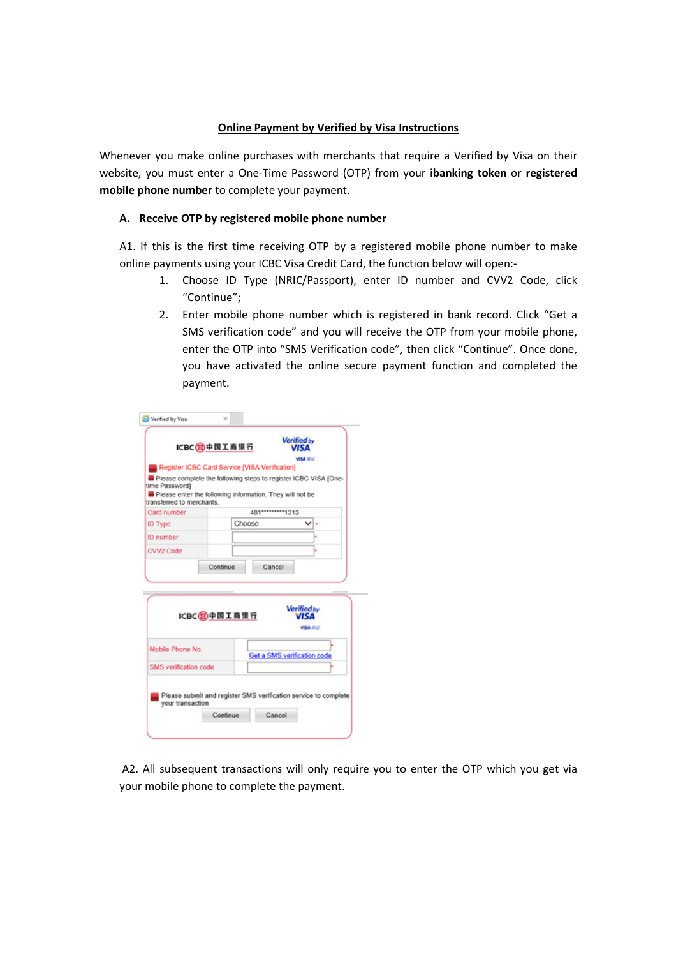## Online Payment by Verified by Visa Instructions

Whenever you make online purchases with merchants that require a Verified by Visa on their website, you must enter a One-Time Password (OTP) from your ibanking token or registered mobile phone number to complete your payment.

## A. Receive OTP by registered mobile phone number

A1. If this is the first time receiving OTP by a registered mobile phone number to make online payments using your ICBC Visa Credit Card, the function below will open:-

- 1. Choose ID Type (NRIC/Passport), enter ID number and CVV2 Code, click "Continue";
- 2. Enter mobile phone number which is registered in bank record. Click "Get a SMS verification code" and you will receive the OTP from your mobile phone, enter the OTP into "SMS Verification code", then click "Continue". Once done, you have activated the online secure payment function and completed the payment.

|                                                                                                         | ICBC②中国工商银行 | Register ICBC Card Service [VISA Verification] | VISA<br><b>VISA ADU</b>                                         |  |
|---------------------------------------------------------------------------------------------------------|-------------|------------------------------------------------|-----------------------------------------------------------------|--|
| time Password)<br>Please enter the following information. They will not be<br>transferred to merchants. |             |                                                | Please complete the following steps to register ICBC VISA [One- |  |
| Card number                                                                                             |             |                                                | 481*********1313                                                |  |
| <b>ID Type</b>                                                                                          |             | Choose                                         |                                                                 |  |
| <b>ID</b> number                                                                                        |             |                                                |                                                                 |  |
| CVV2 Code                                                                                               |             |                                                |                                                                 |  |
|                                                                                                         |             | Continue                                       | Cancel                                                          |  |
|                                                                                                         | ICBC图中国工商银行 |                                                | <b>Verified by</b><br><b>VISA IDU</b>                           |  |
| Mobile Phone No.                                                                                        |             |                                                | Get a SMS verification cod-                                     |  |
| SMS verification code                                                                                   |             |                                                |                                                                 |  |
| your transaction                                                                                        |             |                                                | Please submit and register SMS verification service to complete |  |

 A2. All subsequent transactions will only require you to enter the OTP which you get via your mobile phone to complete the payment.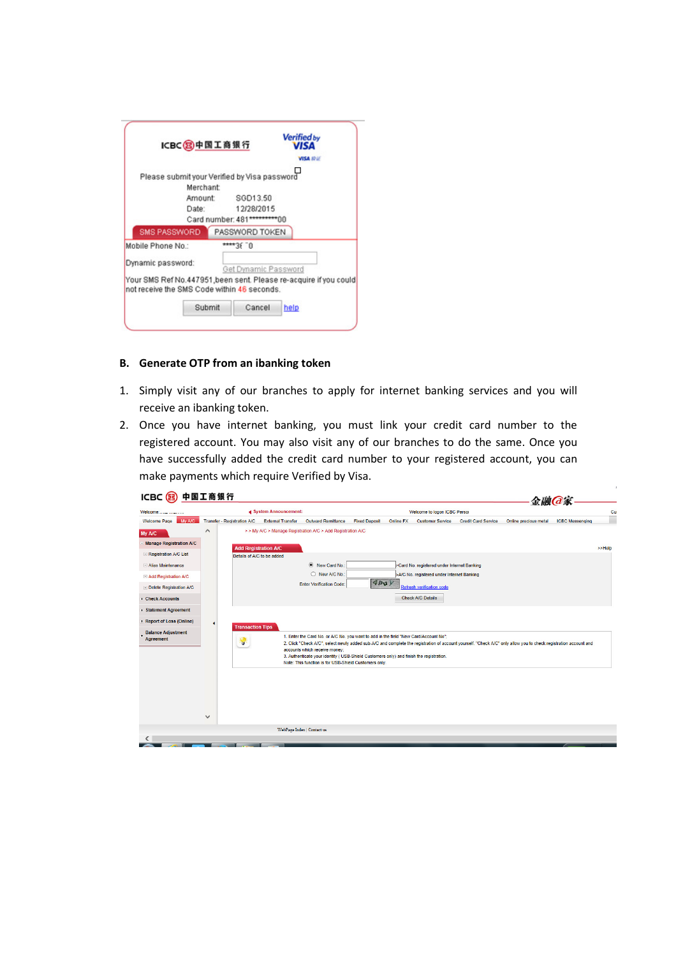|                                             | ICBC 29中国工商银行 |                                              | <b>Verified by</b><br>VISA                                       |
|---------------------------------------------|---------------|----------------------------------------------|------------------------------------------------------------------|
|                                             |               |                                              | <b>VISA SOLE</b>                                                 |
|                                             |               | Please submit your Verified by Visa password |                                                                  |
|                                             | Merchant:     |                                              |                                                                  |
|                                             | Amount        | SGD13.50                                     |                                                                  |
|                                             | Date:         | 12/28/2015                                   |                                                                  |
|                                             |               | Card number: 481**********00                 |                                                                  |
| SMS PASSWORD                                |               | PASSWORD TOKEN                               |                                                                  |
| Mobile Phone No.:                           |               | $***36-0$                                    |                                                                  |
| Dynamic password:                           |               |                                              |                                                                  |
|                                             |               | Get Dynamic Password                         |                                                                  |
| not receive the SMS Code within 46 seconds. |               |                                              | Your SMS Ref No.447951,been sent. Please re-acquire if you could |
|                                             | Submit        | Cancel                                       | help                                                             |

## B. Generate OTP from an ibanking token

- 1. Simply visit any of our branches to apply for internet banking services and you will receive an ibanking token.
- 2. Once you have internet banking, you must link your credit card number to the registered account. You may also visit any of our branches to do the same. Once you have successfully added the credit card number to your registered account, you can make payments which require Verified by Visa.

|              | ICBC 3 中国工商银行 |                          |                                                                                                                            |                                                                                                                                          |                                                             |                                                                  |                                                                                                                                                                                                                                         | 金融@家                                                                                                                      |                        |                                                                                                                                                                  |
|--------------|---------------|--------------------------|----------------------------------------------------------------------------------------------------------------------------|------------------------------------------------------------------------------------------------------------------------------------------|-------------------------------------------------------------|------------------------------------------------------------------|-----------------------------------------------------------------------------------------------------------------------------------------------------------------------------------------------------------------------------------------|---------------------------------------------------------------------------------------------------------------------------|------------------------|------------------------------------------------------------------------------------------------------------------------------------------------------------------|
|              |               |                          |                                                                                                                            |                                                                                                                                          |                                                             |                                                                  |                                                                                                                                                                                                                                         |                                                                                                                           |                        |                                                                                                                                                                  |
|              |               | <b>External Transfer</b> | <b>Outward Remittance</b>                                                                                                  | <b>Fixed Deposit</b>                                                                                                                     | Online FX                                                   | <b>Customer Service</b>                                          | <b>Credit Card Service</b>                                                                                                                                                                                                              | Online precious metal                                                                                                     | <b>ICBC Messenging</b> |                                                                                                                                                                  |
| $\wedge$     |               |                          |                                                                                                                            |                                                                                                                                          |                                                             |                                                                  |                                                                                                                                                                                                                                         |                                                                                                                           |                        |                                                                                                                                                                  |
|              |               |                          |                                                                                                                            |                                                                                                                                          |                                                             |                                                                  |                                                                                                                                                                                                                                         |                                                                                                                           |                        | >>Help                                                                                                                                                           |
|              |               |                          |                                                                                                                            |                                                                                                                                          |                                                             |                                                                  |                                                                                                                                                                                                                                         |                                                                                                                           |                        |                                                                                                                                                                  |
|              |               |                          | ◉ New Card No.:                                                                                                            |                                                                                                                                          |                                                             |                                                                  |                                                                                                                                                                                                                                         |                                                                                                                           |                        |                                                                                                                                                                  |
|              |               |                          |                                                                                                                            |                                                                                                                                          |                                                             |                                                                  |                                                                                                                                                                                                                                         |                                                                                                                           |                        |                                                                                                                                                                  |
|              |               |                          |                                                                                                                            |                                                                                                                                          |                                                             |                                                                  |                                                                                                                                                                                                                                         |                                                                                                                           |                        |                                                                                                                                                                  |
|              |               |                          |                                                                                                                            |                                                                                                                                          |                                                             |                                                                  |                                                                                                                                                                                                                                         |                                                                                                                           |                        |                                                                                                                                                                  |
|              |               |                          |                                                                                                                            |                                                                                                                                          |                                                             |                                                                  |                                                                                                                                                                                                                                         |                                                                                                                           |                        |                                                                                                                                                                  |
| ٠            |               |                          |                                                                                                                            |                                                                                                                                          |                                                             |                                                                  |                                                                                                                                                                                                                                         |                                                                                                                           |                        |                                                                                                                                                                  |
|              | 寥             |                          |                                                                                                                            |                                                                                                                                          |                                                             |                                                                  |                                                                                                                                                                                                                                         |                                                                                                                           |                        |                                                                                                                                                                  |
| $\checkmark$ |               |                          |                                                                                                                            |                                                                                                                                          |                                                             |                                                                  |                                                                                                                                                                                                                                         |                                                                                                                           |                        |                                                                                                                                                                  |
| My A/C       |               |                          | <b>Transfer - Registration A/C</b><br><b>Add Registration A/C</b><br>Details of A/C to be added<br><b>Transaction Tips</b> | System Announcement:<br>O New A/C No.:<br><b>Enter Verification Code:</b><br>accounts which receive money:<br>WebPage Index   Contact us | > > My A/C > Manage Registration A/C > Add Registration A/C | $4p_0y$<br>Note: This function is for USB-Shield Customers only. | Refresh verification code<br><b>Check A/C Details</b><br>1. Enter the Card No. or A/C No. you want to add in the field "New Card/Account No";<br>3. Authenticate your identity (USB-Shield Customers only) and finish the registration. | Welcome to logon ICBC Person<br>>Card No. registered under Internet Banking<br>>A/C No. registered under Internet Banking |                        | 2. Click "Check A/C", select newly added sub-A/C and complete the registration of account yourself. "Check A/C" only allow you to check registration account and |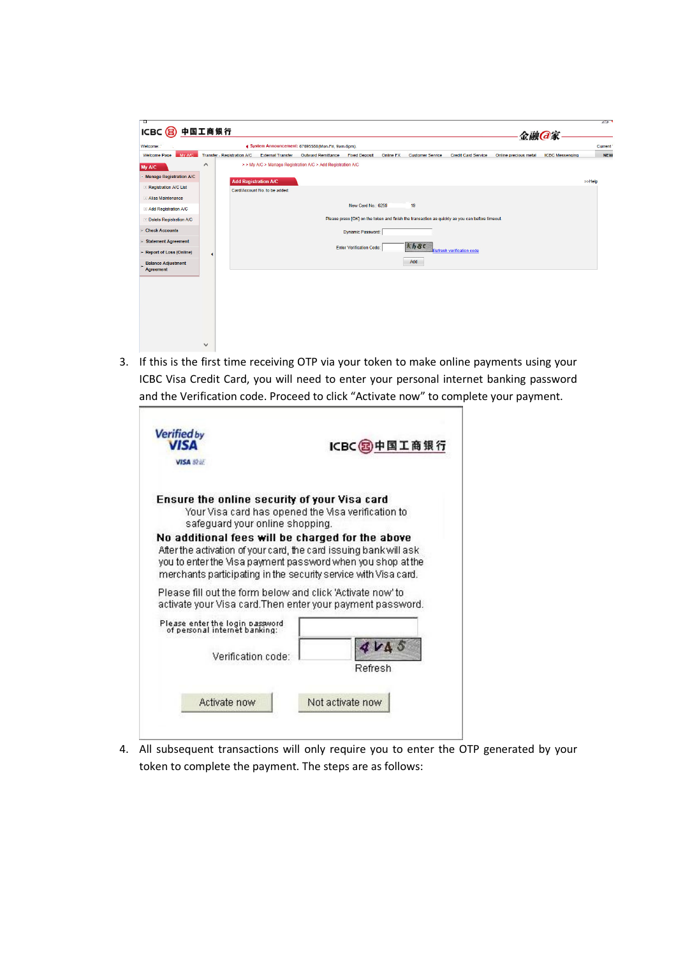| Welcome:                               |                     |                                    |                               | System Announcement: 67695588(Mon-Fri. 9am-6pm).            |                                 |           |                         |                                                                                                 | 金融@家                  |                        | Current    |
|----------------------------------------|---------------------|------------------------------------|-------------------------------|-------------------------------------------------------------|---------------------------------|-----------|-------------------------|-------------------------------------------------------------------------------------------------|-----------------------|------------------------|------------|
| My A/C<br><b>Welcome Page</b>          |                     | <b>Transfer - Registration A/C</b> | <b>External Transfer</b>      | <b>Outward Remittance</b>                                   | <b>Fixed Deposit</b>            | Online FX | <b>Customer Service</b> | <b>Credit Card Service</b>                                                                      | Online precious metal | <b>ICBC Messenging</b> | <b>NEW</b> |
| My A/C                                 | $\hat{\phantom{1}}$ |                                    |                               | > > My A/C > Manage Registration A/C > Add Registration A/C |                                 |           |                         |                                                                                                 |                       |                        |            |
| <b>Manage Registration A/C</b>         |                     | <b>Add Registration A/C</b>        |                               |                                                             |                                 |           |                         |                                                                                                 |                       |                        | $>>$ Help  |
| Registration A/C List                  |                     |                                    | Card/Account No. to be added: |                                                             |                                 |           |                         |                                                                                                 |                       |                        |            |
| - Alias Maintenance                    |                     |                                    |                               |                                                             |                                 |           |                         |                                                                                                 |                       |                        |            |
| Add Registration A/C                   |                     |                                    |                               |                                                             | New Card No.: 6259              |           | 19                      |                                                                                                 |                       |                        |            |
| Delete Registration A/C                |                     |                                    |                               |                                                             |                                 |           |                         | Please press [OK] on the token and finish the transaction as quickly as you can before timeout. |                       |                        |            |
| + Check Accounts                       |                     |                                    |                               |                                                             | Dynamic Password:               |           |                         |                                                                                                 |                       |                        |            |
| + Statement Agreement                  |                     |                                    |                               |                                                             |                                 |           | kh8c                    |                                                                                                 |                       |                        |            |
| + Report of Loss (Online)              |                     |                                    |                               |                                                             | <b>Enter Verification Code:</b> |           |                         | Refresh verification code                                                                       |                       |                        |            |
| <b>Balance Adjustment</b><br>Agreement |                     |                                    |                               |                                                             |                                 |           | Add                     |                                                                                                 |                       |                        |            |
|                                        |                     |                                    |                               |                                                             |                                 |           |                         |                                                                                                 |                       |                        |            |
|                                        |                     |                                    |                               |                                                             |                                 |           |                         |                                                                                                 |                       |                        |            |
|                                        |                     |                                    |                               |                                                             |                                 |           |                         |                                                                                                 |                       |                        |            |
|                                        |                     |                                    |                               |                                                             |                                 |           |                         |                                                                                                 |                       |                        |            |
|                                        |                     |                                    |                               |                                                             |                                 |           |                         |                                                                                                 |                       |                        |            |
|                                        |                     |                                    |                               |                                                             |                                 |           |                         |                                                                                                 |                       |                        |            |
|                                        | $\checkmark$        |                                    |                               |                                                             |                                 |           |                         |                                                                                                 |                       |                        |            |

3. If this is the first time receiving OTP via your token to make online payments using your ICBC Visa Credit Card, you will need to enter your personal internet banking password and the Verification code. Proceed to click "Activate now" to complete your payment.

| <b>Verified by</b><br>VISA                                       | ICBC(国中国工商银行                                                      |
|------------------------------------------------------------------|-------------------------------------------------------------------|
| <b>VISA SOF</b>                                                  |                                                                   |
| Ensure the online security of your Visa card                     |                                                                   |
| safeguard your online shopping.                                  | Your Visa card has opened the Visa verification to                |
| No additional fees will be charged for the above                 | After the activation of your card, the card issuing bank will ask |
| merchants participating in the security service with Visa card.  | you to enter the Visa payment password when you shop at the       |
| Please fill out the form below and click 'Activate now' to       | activate your Visa card. Then enter your payment password.        |
| Please enter the login password<br>of personal internet banking: |                                                                   |
| Verification code:                                               | Refresh                                                           |

4. All subsequent transactions will only require you to enter the OTP generated by your token to complete the payment. The steps are as follows: